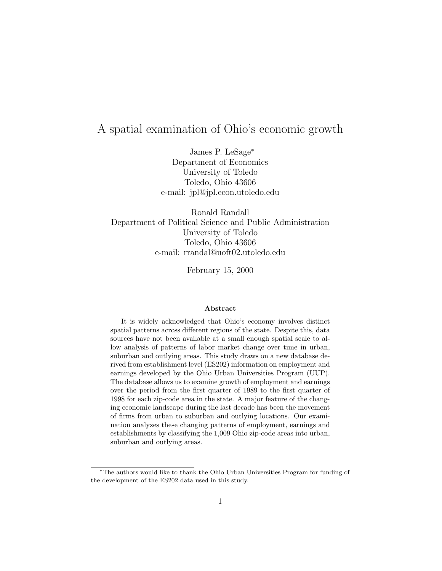# A spatial examination of Ohio's economic growth

James P. LeSage<sup>∗</sup> Department of Economics University of Toledo Toledo, Ohio 43606 e-mail: jpl@jpl.econ.utoledo.edu

Ronald Randall Department of Political Science and Public Administration University of Toledo Toledo, Ohio 43606 e-mail: rrandal@uoft02.utoledo.edu

February 15, 2000

#### **Abstract**

It is widely acknowledged that Ohio's economy involves distinct spatial patterns across different regions of the state. Despite this, data sources have not been available at a small enough spatial scale to allow analysis of patterns of labor market change over time in urban, suburban and outlying areas. This study draws on a new database derived from establishment level (ES202) information on employment and earnings developed by the Ohio Urban Universities Program (UUP). The database allows us to examine growth of employment and earnings over the period from the first quarter of 1989 to the first quarter of 1998 for each zip-code area in the state. A major feature of the changing economic landscape during the last decade has been the movement of firms from urban to suburban and outlying locations. Our examination analyzes these changing patterns of employment, earnings and establishments by classifying the 1,009 Ohio zip-code areas into urban, suburban and outlying areas.

<sup>∗</sup>The authors would like to thank the Ohio Urban Universities Program for funding of the development of the ES202 data used in this study.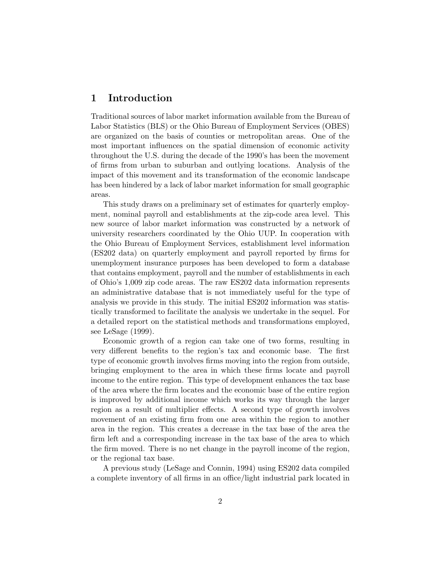## **1 Introduction**

Traditional sources of labor market information available from the Bureau of Labor Statistics (BLS) or the Ohio Bureau of Employment Services (OBES) are organized on the basis of counties or metropolitan areas. One of the most important influences on the spatial dimension of economic activity throughout the U.S. during the decade of the 1990's has been the movement of firms from urban to suburban and outlying locations. Analysis of the impact of this movement and its transformation of the economic landscape has been hindered by a lack of labor market information for small geographic areas.

This study draws on a preliminary set of estimates for quarterly employment, nominal payroll and establishments at the zip-code area level. This new source of labor market information was constructed by a network of university researchers coordinated by the Ohio UUP. In cooperation with the Ohio Bureau of Employment Services, establishment level information (ES202 data) on quarterly employment and payroll reported by firms for unemployment insurance purposes has been developed to form a database that contains employment, payroll and the number of establishments in each of Ohio's 1,009 zip code areas. The raw ES202 data information represents an administrative database that is not immediately useful for the type of analysis we provide in this study. The initial ES202 information was statistically transformed to facilitate the analysis we undertake in the sequel. For a detailed report on the statistical methods and transformations employed, see LeSage (1999).

Economic growth of a region can take one of two forms, resulting in very different benefits to the region's tax and economic base. The first type of economic growth involves firms moving into the region from outside, bringing employment to the area in which these firms locate and payroll income to the entire region. This type of development enhances the tax base of the area where the firm locates and the economic base of the entire region is improved by additional income which works its way through the larger region as a result of multiplier effects. A second type of growth involves movement of an existing firm from one area within the region to another area in the region. This creates a decrease in the tax base of the area the firm left and a corresponding increase in the tax base of the area to which the firm moved. There is no net change in the payroll income of the region, or the regional tax base.

A previous study (LeSage and Connin, 1994) using ES202 data compiled a complete inventory of all firms in an office/light industrial park located in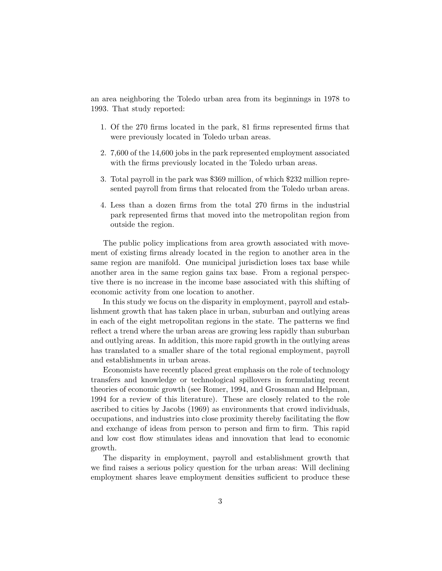an area neighboring the Toledo urban area from its beginnings in 1978 to 1993. That study reported:

- 1. Of the 270 firms located in the park, 81 firms represented firms that were previously located in Toledo urban areas.
- 2. 7,600 of the 14,600 jobs in the park represented employment associated with the firms previously located in the Toledo urban areas.
- 3. Total payroll in the park was \$369 million, of which \$232 million represented payroll from firms that relocated from the Toledo urban areas.
- 4. Less than a dozen firms from the total 270 firms in the industrial park represented firms that moved into the metropolitan region from outside the region.

The public policy implications from area growth associated with movement of existing firms already located in the region to another area in the same region are manifold. One municipal jurisdiction loses tax base while another area in the same region gains tax base. From a regional perspective there is no increase in the income base associated with this shifting of economic activity from one location to another.

In this study we focus on the disparity in employment, payroll and establishment growth that has taken place in urban, suburban and outlying areas in each of the eight metropolitan regions in the state. The patterns we find reflect a trend where the urban areas are growing less rapidly than suburban and outlying areas. In addition, this more rapid growth in the outlying areas has translated to a smaller share of the total regional employment, payroll and establishments in urban areas.

Economists have recently placed great emphasis on the role of technology transfers and knowledge or technological spillovers in formulating recent theories of economic growth (see Romer, 1994, and Grossman and Helpman, 1994 for a review of this literature). These are closely related to the role ascribed to cities by Jacobs (1969) as environments that crowd individuals, occupations, and industries into close proximity thereby facilitating the flow and exchange of ideas from person to person and firm to firm. This rapid and low cost flow stimulates ideas and innovation that lead to economic growth.

The disparity in employment, payroll and establishment growth that we find raises a serious policy question for the urban areas: Will declining employment shares leave employment densities sufficient to produce these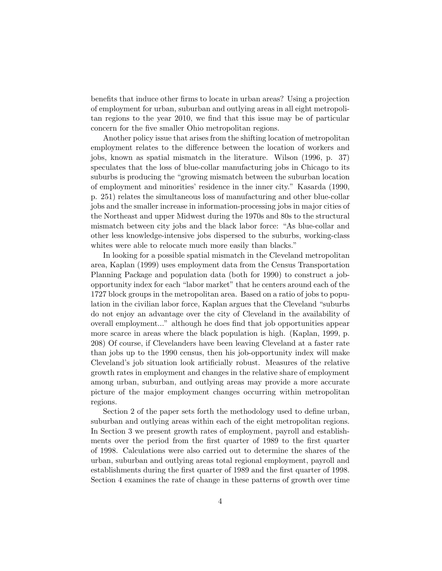benefits that induce other firms to locate in urban areas? Using a projection of employment for urban, suburban and outlying areas in all eight metropolitan regions to the year 2010, we find that this issue may be of particular concern for the five smaller Ohio metropolitan regions.

Another policy issue that arises from the shifting location of metropolitan employment relates to the difference between the location of workers and jobs, known as spatial mismatch in the literature. Wilson (1996, p. 37) speculates that the loss of blue-collar manufacturing jobs in Chicago to its suburbs is producing the "growing mismatch between the suburban location of employment and minorities' residence in the inner city." Kasarda (1990, p. 251) relates the simultaneous loss of manufacturing and other blue-collar jobs and the smaller increase in information-processing jobs in major cities of the Northeast and upper Midwest during the 1970s and 80s to the structural mismatch between city jobs and the black labor force: "As blue-collar and other less knowledge-intensive jobs dispersed to the suburbs, working-class whites were able to relocate much more easily than blacks."

In looking for a possible spatial mismatch in the Cleveland metropolitan area, Kaplan (1999) uses employment data from the Census Transportation Planning Package and population data (both for 1990) to construct a jobopportunity index for each "labor market" that he centers around each of the 1727 block groups in the metropolitan area. Based on a ratio of jobs to population in the civilian labor force, Kaplan argues that the Cleveland "suburbs do not enjoy an advantage over the city of Cleveland in the availability of overall employment..." although he does find that job opportunities appear more scarce in areas where the black population is high. (Kaplan, 1999, p. 208) Of course, if Clevelanders have been leaving Cleveland at a faster rate than jobs up to the 1990 census, then his job-opportunity index will make Cleveland's job situation look artificially robust. Measures of the relative growth rates in employment and changes in the relative share of employment among urban, suburban, and outlying areas may provide a more accurate picture of the major employment changes occurring within metropolitan regions.

Section 2 of the paper sets forth the methodology used to define urban, suburban and outlying areas within each of the eight metropolitan regions. In Section 3 we present growth rates of employment, payroll and establishments over the period from the first quarter of 1989 to the first quarter of 1998. Calculations were also carried out to determine the shares of the urban, suburban and outlying areas total regional employment, payroll and establishments during the first quarter of 1989 and the first quarter of 1998. Section 4 examines the rate of change in these patterns of growth over time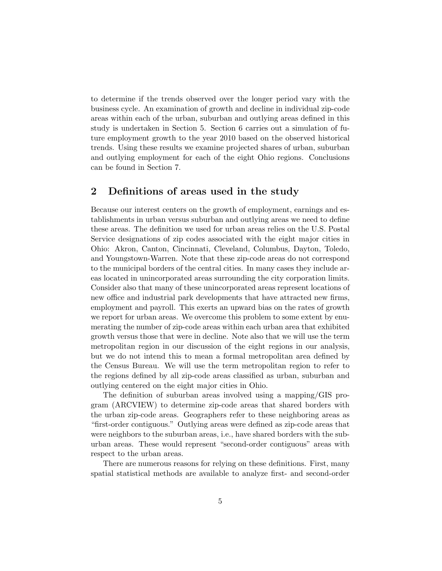to determine if the trends observed over the longer period vary with the business cycle. An examination of growth and decline in individual zip-code areas within each of the urban, suburban and outlying areas defined in this study is undertaken in Section 5. Section 6 carries out a simulation of future employment growth to the year 2010 based on the observed historical trends. Using these results we examine projected shares of urban, suburban and outlying employment for each of the eight Ohio regions. Conclusions can be found in Section 7.

## **2 Definitions of areas used in the study**

Because our interest centers on the growth of employment, earnings and establishments in urban versus suburban and outlying areas we need to define these areas. The definition we used for urban areas relies on the U.S. Postal Service designations of zip codes associated with the eight major cities in Ohio: Akron, Canton, Cincinnati, Cleveland, Columbus, Dayton, Toledo, and Youngstown-Warren. Note that these zip-code areas do not correspond to the municipal borders of the central cities. In many cases they include areas located in unincorporated areas surrounding the city corporation limits. Consider also that many of these unincorporated areas represent locations of new office and industrial park developments that have attracted new firms, employment and payroll. This exerts an upward bias on the rates of growth we report for urban areas. We overcome this problem to some extent by enumerating the number of zip-code areas within each urban area that exhibited growth versus those that were in decline. Note also that we will use the term metropolitan region in our discussion of the eight regions in our analysis, but we do not intend this to mean a formal metropolitan area defined by the Census Bureau. We will use the term metropolitan region to refer to the regions defined by all zip-code areas classified as urban, suburban and outlying centered on the eight major cities in Ohio.

The definition of suburban areas involved using a mapping/GIS program (ARCVIEW) to determine zip-code areas that shared borders with the urban zip-code areas. Geographers refer to these neighboring areas as "first-order contiguous." Outlying areas were defined as zip-code areas that were neighbors to the suburban areas, i.e., have shared borders with the suburban areas. These would represent "second-order contiguous" areas with respect to the urban areas.

There are numerous reasons for relying on these definitions. First, many spatial statistical methods are available to analyze first- and second-order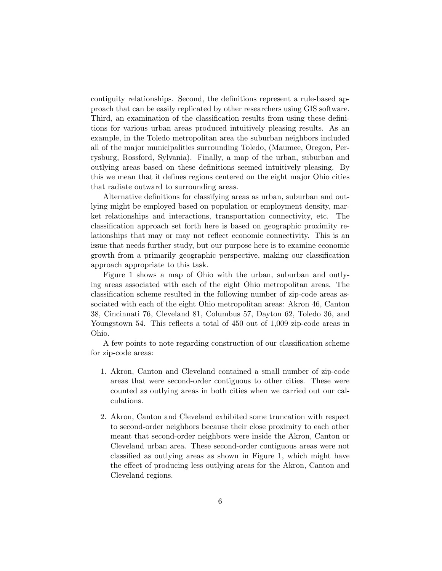contiguity relationships. Second, the definitions represent a rule-based approach that can be easily replicated by other researchers using GIS software. Third, an examination of the classification results from using these definitions for various urban areas produced intuitively pleasing results. As an example, in the Toledo metropolitan area the suburban neighbors included all of the major municipalities surrounding Toledo, (Maumee, Oregon, Perrysburg, Rossford, Sylvania). Finally, a map of the urban, suburban and outlying areas based on these definitions seemed intuitively pleasing. By this we mean that it defines regions centered on the eight major Ohio cities that radiate outward to surrounding areas.

Alternative definitions for classifying areas as urban, suburban and outlying might be employed based on population or employment density, market relationships and interactions, transportation connectivity, etc. The classification approach set forth here is based on geographic proximity relationships that may or may not reflect economic connectivity. This is an issue that needs further study, but our purpose here is to examine economic growth from a primarily geographic perspective, making our classification approach appropriate to this task.

Figure 1 shows a map of Ohio with the urban, suburban and outlying areas associated with each of the eight Ohio metropolitan areas. The classification scheme resulted in the following number of zip-code areas associated with each of the eight Ohio metropolitan areas: Akron 46, Canton 38, Cincinnati 76, Cleveland 81, Columbus 57, Dayton 62, Toledo 36, and Youngstown 54. This reflects a total of 450 out of 1,009 zip-code areas in Ohio.

A few points to note regarding construction of our classification scheme for zip-code areas:

- 1. Akron, Canton and Cleveland contained a small number of zip-code areas that were second-order contiguous to other cities. These were counted as outlying areas in both cities when we carried out our calculations.
- 2. Akron, Canton and Cleveland exhibited some truncation with respect to second-order neighbors because their close proximity to each other meant that second-order neighbors were inside the Akron, Canton or Cleveland urban area. These second-order contiguous areas were not classified as outlying areas as shown in Figure 1, which might have the effect of producing less outlying areas for the Akron, Canton and Cleveland regions.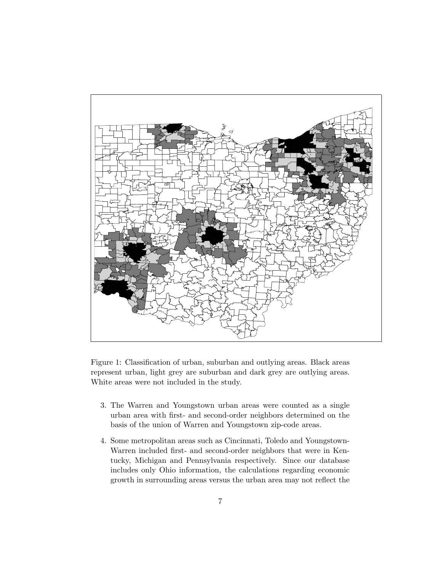

Figure 1: Classification of urban, suburban and outlying areas. Black areas represent urban, light grey are suburban and dark grey are outlying areas. White areas were not included in the study.

- 3. The Warren and Youngstown urban areas were counted as a single urban area with first- and second-order neighbors determined on the basis of the union of Warren and Youngstown zip-code areas.
- 4. Some metropolitan areas such as Cincinnati, Toledo and Youngstown-Warren included first- and second-order neighbors that were in Kentucky, Michigan and Pennsylvania respectively. Since our database includes only Ohio information, the calculations regarding economic growth in surrounding areas versus the urban area may not reflect the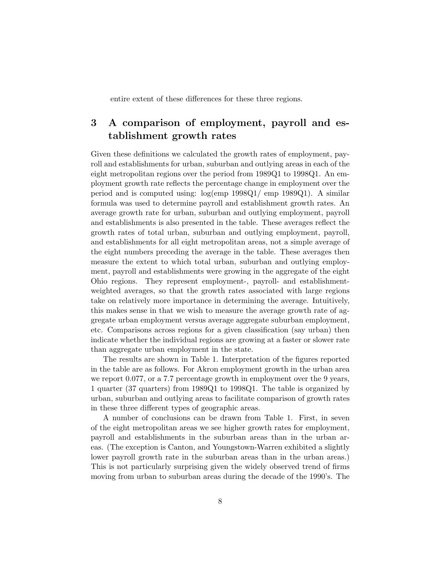entire extent of these differences for these three regions.

# **3 A comparison of employment, payroll and establishment growth rates**

Given these definitions we calculated the growth rates of employment, payroll and establishments for urban, suburban and outlying areas in each of the eight metropolitan regions over the period from 1989Q1 to 1998Q1. An employment growth rate reflects the percentage change in employment over the period and is computed using:  $log$ (emp 1998Q1/ emp 1989Q1). A similar formula was used to determine payroll and establishment growth rates. An average growth rate for urban, suburban and outlying employment, payroll and establishments is also presented in the table. These averages reflect the growth rates of total urban, suburban and outlying employment, payroll, and establishments for all eight metropolitan areas, not a simple average of the eight numbers preceding the average in the table. These averages then measure the extent to which total urban, suburban and outlying employment, payroll and establishments were growing in the aggregate of the eight Ohio regions. They represent employment-, payroll- and establishmentweighted averages, so that the growth rates associated with large regions take on relatively more importance in determining the average. Intuitively, this makes sense in that we wish to measure the average growth rate of aggregate urban employment versus average aggregate suburban employment, etc. Comparisons across regions for a given classification (say urban) then indicate whether the individual regions are growing at a faster or slower rate than aggregate urban employment in the state.

The results are shown in Table 1. Interpretation of the figures reported in the table are as follows. For Akron employment growth in the urban area we report 0.077, or a 7.7 percentage growth in employment over the 9 years, 1 quarter (37 quarters) from 1989Q1 to 1998Q1. The table is organized by urban, suburban and outlying areas to facilitate comparison of growth rates in these three different types of geographic areas.

A number of conclusions can be drawn from Table 1. First, in seven of the eight metropolitan areas we see higher growth rates for employment, payroll and establishments in the suburban areas than in the urban areas. (The exception is Canton, and Youngstown-Warren exhibited a slightly lower payroll growth rate in the suburban areas than in the urban areas.) This is not particularly surprising given the widely observed trend of firms moving from urban to suburban areas during the decade of the 1990's. The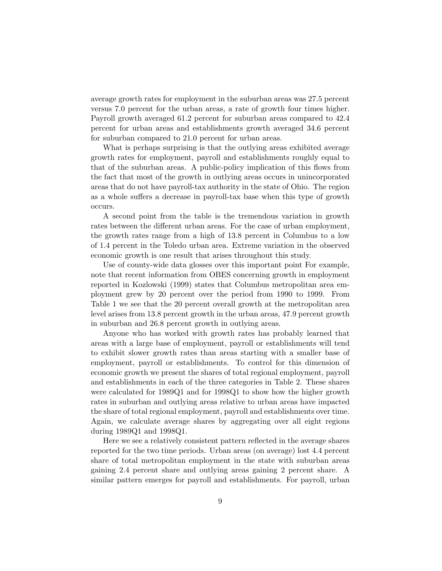average growth rates for employment in the suburban areas was 27.5 percent versus 7.0 percent for the urban areas, a rate of growth four times higher. Payroll growth averaged 61.2 percent for suburban areas compared to 42.4 percent for urban areas and establishments growth averaged 34.6 percent for suburban compared to 21.0 percent for urban areas.

What is perhaps surprising is that the outlying areas exhibited average growth rates for employment, payroll and establishments roughly equal to that of the suburban areas. A public-policy implication of this flows from the fact that most of the growth in outlying areas occurs in unincorporated areas that do not have payroll-tax authority in the state of Ohio. The region as a whole suffers a decrease in payroll-tax base when this type of growth occurs.

A second point from the table is the tremendous variation in growth rates between the different urban areas. For the case of urban employment, the growth rates range from a high of 13.8 percent in Columbus to a low of 1.4 percent in the Toledo urban area. Extreme variation in the observed economic growth is one result that arises throughout this study.

Use of county-wide data glosses over this important point For example, note that recent information from OBES concerning growth in employment reported in Kozlowski (1999) states that Columbus metropolitan area employment grew by 20 percent over the period from 1990 to 1999. From Table 1 we see that the 20 percent overall growth at the metropolitan area level arises from 13.8 percent growth in the urban areas, 47.9 percent growth in suburban and 26.8 percent growth in outlying areas.

Anyone who has worked with growth rates has probably learned that areas with a large base of employment, payroll or establishments will tend to exhibit slower growth rates than areas starting with a smaller base of employment, payroll or establishments. To control for this dimension of economic growth we present the shares of total regional employment, payroll and establishments in each of the three categories in Table 2. These shares were calculated for 1989Q1 and for 1998Q1 to show how the higher growth rates in suburban and outlying areas relative to urban areas have impacted the share of total regional employment, payroll and establishments over time. Again, we calculate average shares by aggregating over all eight regions during 1989Q1 and 1998Q1.

Here we see a relatively consistent pattern reflected in the average shares reported for the two time periods. Urban areas (on average) lost 4.4 percent share of total metropolitan employment in the state with suburban areas gaining 2.4 percent share and outlying areas gaining 2 percent share. A similar pattern emerges for payroll and establishments. For payroll, urban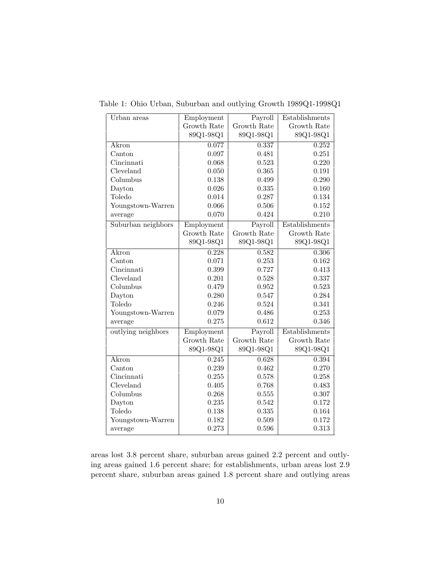| Urban areas        | Employment  | Payroll     | Establishments |
|--------------------|-------------|-------------|----------------|
|                    | Growth Rate | Growth Rate | Growth Rate    |
|                    | 89Q1-98Q1   | 89Q1-98Q1   | 89Q1-98Q1      |
| Akron              | 0.077       | 0.337       | 0.252          |
| Canton             | 0.097       | 0.481       | 0.251          |
| Cincinnati         | 0.068       | 0.523       | 0.220          |
| Cleveland          | 0.050       | 0.365       | 0.191          |
| Columbus           | 0.138       | 0.499       | 0.290          |
| Dayton             | 0.026       | 0.335       | 0.160          |
| Toledo             | 0.014       | 0.287       | 0.134          |
| Youngstown-Warren  | 0.066       | 0.506       | 0.152          |
| average            | 0.070       | 0.424       | 0.210          |
| Suburban neighbors | Employment  | Payroll     | Establishments |
|                    | Growth Rate | Growth Rate | Growth Rate    |
|                    | 89Q1-98Q1   | 89Q1-98Q1   | 89Q1-98Q1      |
| Akron              | 0.228       | 0.582       | 0.306          |
| Canton             | 0.071       | 0.253       | 0.162          |
| Cincinnati         | 0.399       | 0.727       | 0.413          |
| Cleveland          | 0.201       | 0.528       | 0.337          |
| Columbus           | 0.479       | 0.952       | 0.523          |
| Dayton             | 0.280       | 0.547       | 0.284          |
| Toledo             | 0.246       | 0.524       | 0.341          |
| Youngstown-Warren  | 0.079       | 0.486       | 0.253          |
| average            | 0.275       | 0.612       | 0.346          |
| outlying neighbors | Employment  | Payroll     | Establishments |
|                    | Growth Rate | Growth Rate | Growth Rate    |
|                    | 89Q1-98Q1   | 89Q1-98Q1   | 89Q1-98Q1      |
| Akron              | 0.245       | 0.628       | 0.394          |
| Canton             | 0.239       | 0.462       | 0.270          |
| Cincinnati         | 0.255       | 0.578       | 0.258          |
| Cleveland          | 0.405       | 0.768       | 0.483          |
| Columbus           | 0.268       | 0.555       | 0.307          |
| Dayton             | 0.235       | 0.542       | 0.172          |
| Toledo             | 0.138       | 0.335       | 0.164          |
| Youngstown-Warren  | 0.182       | 0.509       | 0.172          |
| average            | 0.273       | 0.596       | 0.313          |

Table 1: Ohio Urban, Suburban and outlying Growth 1989Q1-1998Q1

areas lost 3.8 percent share, suburban areas gained 2.2 percent and outlying areas gained 1.6 percent share; for establishments, urban areas lost 2.9 percent share, suburban areas gained 1.8 percent share and outlying areas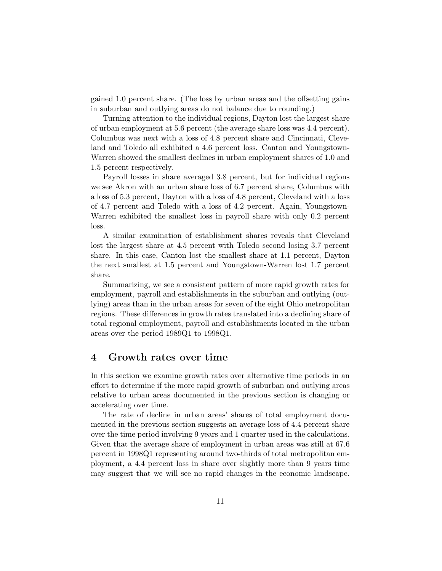gained 1.0 percent share. (The loss by urban areas and the offsetting gains in suburban and outlying areas do not balance due to rounding.)

Turning attention to the individual regions, Dayton lost the largest share of urban employment at 5.6 percent (the average share loss was 4.4 percent). Columbus was next with a loss of 4.8 percent share and Cincinnati, Cleveland and Toledo all exhibited a 4.6 percent loss. Canton and Youngstown-Warren showed the smallest declines in urban employment shares of 1.0 and 1.5 percent respectively.

Payroll losses in share averaged 3.8 percent, but for individual regions we see Akron with an urban share loss of 6.7 percent share, Columbus with a loss of 5.3 percent, Dayton with a loss of 4.8 percent, Cleveland with a loss of 4.7 percent and Toledo with a loss of 4.2 percent. Again, Youngstown-Warren exhibited the smallest loss in payroll share with only 0.2 percent loss.

A similar examination of establishment shares reveals that Cleveland lost the largest share at 4.5 percent with Toledo second losing 3.7 percent share. In this case, Canton lost the smallest share at 1.1 percent, Dayton the next smallest at 1.5 percent and Youngstown-Warren lost 1.7 percent share.

Summarizing, we see a consistent pattern of more rapid growth rates for employment, payroll and establishments in the suburban and outlying (outlying) areas than in the urban areas for seven of the eight Ohio metropolitan regions. These differences in growth rates translated into a declining share of total regional employment, payroll and establishments located in the urban areas over the period 1989Q1 to 1998Q1.

#### **4 Growth rates over time**

In this section we examine growth rates over alternative time periods in an effort to determine if the more rapid growth of suburban and outlying areas relative to urban areas documented in the previous section is changing or accelerating over time.

The rate of decline in urban areas' shares of total employment documented in the previous section suggests an average loss of 4.4 percent share over the time period involving 9 years and 1 quarter used in the calculations. Given that the average share of employment in urban areas was still at 67.6 percent in 1998Q1 representing around two-thirds of total metropolitan employment, a 4.4 percent loss in share over slightly more than 9 years time may suggest that we will see no rapid changes in the economic landscape.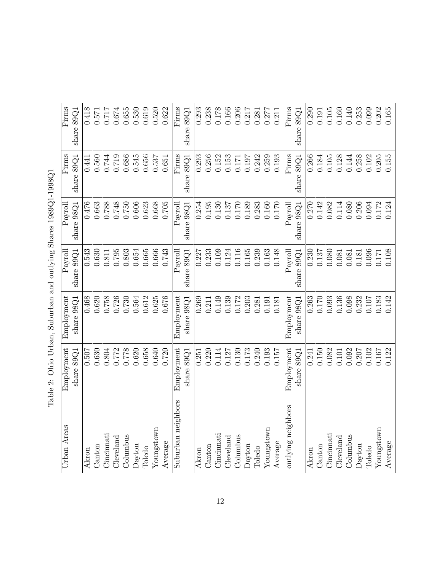| $\overline{\phantom{a}}$<br>$\overline{a}$<br>I<br>and the state of the state of the state of the state of the state of the state of the state of the state of th<br>٦<br>í<br>$\zeta$<br>j<br>l<br>$\overline{\phantom{a}}$ |
|------------------------------------------------------------------------------------------------------------------------------------------------------------------------------------------------------------------------------|
| Ì<br>3<br>Ó<br>í<br>į<br>l<br>į<br>i<br>i                                                                                                                                                                                    |
| i<br>C<br>)<br>I<br>י<br>i<br>ı<br>I<br>ï<br>į<br>l<br>,<br>$\overline{a}$<br>$\overline{\phantom{a}}$                                                                                                                       |
| l<br>$\ddot{\phantom{a}}$<br>ļ                                                                                                                                                                                               |
| j<br>l<br>l<br>$\ddot{\phantom{a}}$<br>Ś<br>Č                                                                                                                                                                                |
| l<br>ı<br>Ó<br>;<br>ı                                                                                                                                                                                                        |
| Ï<br>١<br>$\mathbf{1}$<br>ì<br>$\frac{1}{2}$<br>١                                                                                                                                                                            |
| ı<br>¢<br>ı<br>≀<br>ĺ                                                                                                                                                                                                        |

| Firms<br>Firms          | share 89Q1   | 0.418<br>0.441 | 0.571<br>0.560 | $0.717\,$<br>0.744 | 0.674<br>0.719 | 0.655<br>0.686 | 0.530<br>0.545 | 0.619<br>0.656 | 0.520<br>0.537 | 0.622<br>0.651 | Firms<br>Firms     | share 89Q1   | 0.293<br>0.293 | 0.238<br>0.256 | 0.178<br>0.152 | 0.166<br>0.153    | 0.206<br>$0.171\,$ | 0.217<br>0.197 | 0.281<br>0.242 | 0.277<br>0.259 | 0.211<br>0.193 | Firms<br>Firms     | share $89Q1$ | 0.290<br>0.266 | 0.191<br>$0.184\,$ | 0.105<br>0.105 | 0.160<br>0.128 | 0.140<br>0.144 | 0.253<br>0.258 | 0.099<br>0.102 | 0.202<br>0.205 | 0.165<br>0.155 |
|-------------------------|--------------|----------------|----------------|--------------------|----------------|----------------|----------------|----------------|----------------|----------------|--------------------|--------------|----------------|----------------|----------------|-------------------|--------------------|----------------|----------------|----------------|----------------|--------------------|--------------|----------------|--------------------|----------------|----------------|----------------|----------------|----------------|----------------|----------------|
|                         | share $89Q1$ |                |                |                    |                |                |                |                |                |                |                    | share 89Q1   |                |                |                |                   |                    |                |                |                |                |                    | share $89Q1$ |                |                    |                |                |                |                |                |                |                |
| Payrol                  | share 98Q1   | 0.476          | 0.663          | 0.788              | 0.748          | 0.750          | 0.606          | 0.623          | 0.668          | 0.705          | Payrol             | share 98Q1   | 0.254          | 0.195          | 0.130          | 0.137             | $0.170\,$          | 0.189          | 0.283          | 0.160          | 0.170          | Payroll            | share $98Q1$ | 0.270          | 0.142              | 0.082          | 0.114          | 0.080          | 0.206          | 0.094          | $0.172\,$      | 0.124          |
| $\operatorname{Payrol}$ | share $89Q1$ | 0.543          | 0.630          | $\!0.811$          | 0.795          | 0.803          | 0.654          | 0.665          | 0.666          | 0.743          | $\rm {Payrol}$     | share $89Q1$ | 0.227          | 0.233          | 0.109          | 0.124             | 0.116              | 0.165          | 0.239          | 0.163          | 0.148          | $\rm {Paroll}$     | share $89Q1$ | 0.230          | 0.137              | 0.080          | 0.081          | 0.081          | $0.181\,$      | 0.096          | 0.171          | 0.108          |
| Employment              | share $98Q1$ | 0.468          | 0.620          | 0.758              | 0.726          | 0.730          | 0.564          | 0.612          | 0.625          | 0.676          | Employment         | share $98Q1$ | 0.269          | 0.211          | 0.149          | 0.139             | 0.172              | 0.203          | 0.281          | 0.191          | 0.181          | Employment         | share $98Q1$ | 0.263          | 0.170              | 0.093          | 0.136          | 0.098          | 0.232          | 0.107          | 0.183          | 0.142          |
| Employment              | share $89Q1$ | 0.507          | 0.630          | 0.804              | 0.772          | 0.778          | 0.620          | 0.658          | 0.640          | 0.720          | Employment         | share $89Q1$ | 0.251          | 0.220          | 0.114          | 0.127             | 0.130              | 0.173          | 0.240          | 0.193          | 0.157          | Employment         | share $89Q1$ | 0.241          | 0.150              | 0.082          | 0.101          | 0.092          | 0.207          | 0.102          | 0.167          | 0.122          |
| Urban Areas             |              | Akron          | Canton         | Cincinnati         | Cleveland      | Columbus       | Dayton         | Toledo         | Youngstown     | Average        | Suburban neighbors |              | Akron          | Canton         | Cincinnati     | $\alpha$ develand | Columbus           | Dayton         | Toledo         | Youngstown     | Average        | outlying neighbors |              | Akron          | Canton             | Cincinnati     | $C$ leveland   | Columbus       | Dayton         | Toledo         | Youngstown     | Average        |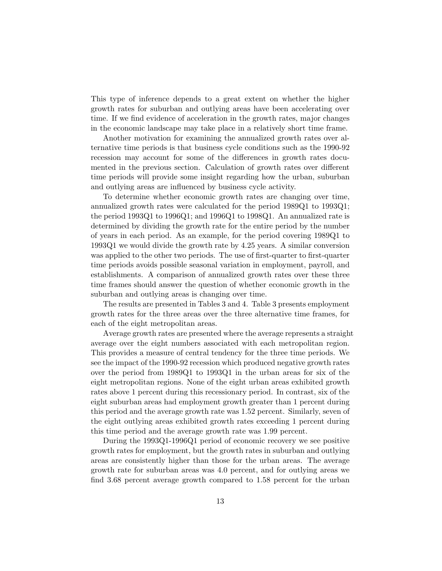This type of inference depends to a great extent on whether the higher growth rates for suburban and outlying areas have been accelerating over time. If we find evidence of acceleration in the growth rates, major changes in the economic landscape may take place in a relatively short time frame.

Another motivation for examining the annualized growth rates over alternative time periods is that business cycle conditions such as the 1990-92 recession may account for some of the differences in growth rates documented in the previous section. Calculation of growth rates over different time periods will provide some insight regarding how the urban, suburban and outlying areas are influenced by business cycle activity.

To determine whether economic growth rates are changing over time, annualized growth rates were calculated for the period 1989Q1 to 1993Q1; the period 1993Q1 to 1996Q1; and 1996Q1 to 1998Q1. An annualized rate is determined by dividing the growth rate for the entire period by the number of years in each period. As an example, for the period covering 1989Q1 to 1993Q1 we would divide the growth rate by 4.25 years. A similar conversion was applied to the other two periods. The use of first-quarter to first-quarter time periods avoids possible seasonal variation in employment, payroll, and establishments. A comparison of annualized growth rates over these three time frames should answer the question of whether economic growth in the suburban and outlying areas is changing over time.

The results are presented in Tables 3 and 4. Table 3 presents employment growth rates for the three areas over the three alternative time frames, for each of the eight metropolitan areas.

Average growth rates are presented where the average represents a straight average over the eight numbers associated with each metropolitan region. This provides a measure of central tendency for the three time periods. We see the impact of the 1990-92 recession which produced negative growth rates over the period from 1989Q1 to 1993Q1 in the urban areas for six of the eight metropolitan regions. None of the eight urban areas exhibited growth rates above 1 percent during this recessionary period. In contrast, six of the eight suburban areas had employment growth greater than 1 percent during this period and the average growth rate was 1.52 percent. Similarly, seven of the eight outlying areas exhibited growth rates exceeding 1 percent during this time period and the average growth rate was 1.99 percent.

During the 1993Q1-1996Q1 period of economic recovery we see positive growth rates for employment, but the growth rates in suburban and outlying areas are consistently higher than those for the urban areas. The average growth rate for suburban areas was 4.0 percent, and for outlying areas we find 3.68 percent average growth compared to 1.58 percent for the urban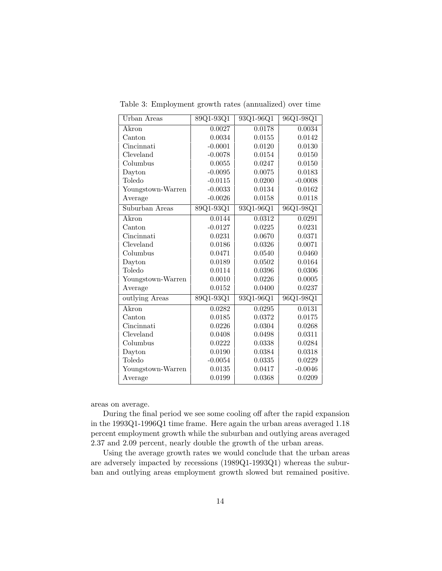| Urban Areas       | 89Q1-93Q1 | 93Q1-96Q1 | 96Q1-98Q1 |
|-------------------|-----------|-----------|-----------|
| Akron             | 0.0027    | 0.0178    | 0.0034    |
| Canton            | 0.0034    | 0.0155    | 0.0142    |
| Cincinnati        | $-0.0001$ | 0.0120    | 0.0130    |
| Cleveland         | $-0.0078$ | 0.0154    | 0.0150    |
| Columbus          | 0.0055    | 0.0247    | 0.0150    |
| Dayton            | $-0.0095$ | 0.0075    | 0.0183    |
| Toledo            | $-0.0115$ | 0.0200    | $-0.0008$ |
| Youngstown-Warren | $-0.0033$ | 0.0134    | 0.0162    |
| Average           | $-0.0026$ | 0.0158    | 0.0118    |
| Suburban Areas    | 89Q1-93Q1 | 93Q1-96Q1 | 96Q1-98Q1 |
| Akron             | 0.0144    | 0.0312    | 0.0291    |
| Canton            | $-0.0127$ | 0.0225    | 0.0231    |
| Cincinnati        | 0.0231    | 0.0670    | 0.0371    |
| Cleveland         | 0.0186    | 0.0326    | 0.0071    |
| Columbus          | 0.0471    | 0.0540    | 0.0460    |
| Dayton            | 0.0189    | 0.0502    | 0.0164    |
| Toledo            | 0.0114    | 0.0396    | 0.0306    |
| Youngstown-Warren | 0.0010    | 0.0226    | 0.0005    |
| Average           | 0.0152    | 0.0400    | 0.0237    |
| outlying Areas    | 89Q1-93Q1 | 93Q1-96Q1 | 96Q1-98Q1 |
| Akron             | 0.0282    | 0.0295    | 0.0131    |
| Canton            | 0.0185    | 0.0372    | 0.0175    |
| Cincinnati        | 0.0226    | 0.0304    | 0.0268    |
| Cleveland         | 0.0408    | 0.0498    | 0.0311    |
| Columbus          | 0.0222    | 0.0338    | 0.0284    |
| Dayton            | 0.0190    | 0.0384    | 0.0318    |
| Toledo            | $-0.0054$ | 0.0335    | 0.0229    |
| Youngstown-Warren | 0.0135    | 0.0417    | $-0.0046$ |
| Average           | 0.0199    | 0.0368    | 0.0209    |

Table 3: Employment growth rates (annualized) over time

areas on average.

During the final period we see some cooling off after the rapid expansion in the 1993Q1-1996Q1 time frame. Here again the urban areas averaged 1.18 percent employment growth while the suburban and outlying areas averaged 2.37 and 2.09 percent, nearly double the growth of the urban areas.

Using the average growth rates we would conclude that the urban areas are adversely impacted by recessions (1989Q1-1993Q1) whereas the suburban and outlying areas employment growth slowed but remained positive.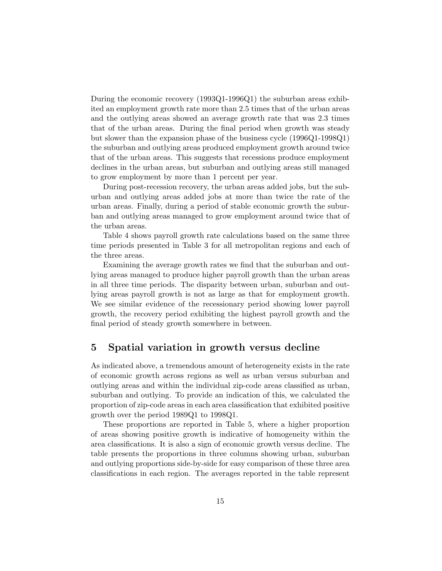During the economic recovery (1993Q1-1996Q1) the suburban areas exhibited an employment growth rate more than 2.5 times that of the urban areas and the outlying areas showed an average growth rate that was 2.3 times that of the urban areas. During the final period when growth was steady but slower than the expansion phase of the business cycle (1996Q1-1998Q1) the suburban and outlying areas produced employment growth around twice that of the urban areas. This suggests that recessions produce employment declines in the urban areas, but suburban and outlying areas still managed to grow employment by more than 1 percent per year.

During post-recession recovery, the urban areas added jobs, but the suburban and outlying areas added jobs at more than twice the rate of the urban areas. Finally, during a period of stable economic growth the suburban and outlying areas managed to grow employment around twice that of the urban areas.

Table 4 shows payroll growth rate calculations based on the same three time periods presented in Table 3 for all metropolitan regions and each of the three areas.

Examining the average growth rates we find that the suburban and outlying areas managed to produce higher payroll growth than the urban areas in all three time periods. The disparity between urban, suburban and outlying areas payroll growth is not as large as that for employment growth. We see similar evidence of the recessionary period showing lower payroll growth, the recovery period exhibiting the highest payroll growth and the final period of steady growth somewhere in between.

### **5 Spatial variation in growth versus decline**

As indicated above, a tremendous amount of heterogeneity exists in the rate of economic growth across regions as well as urban versus suburban and outlying areas and within the individual zip-code areas classified as urban, suburban and outlying. To provide an indication of this, we calculated the proportion of zip-code areas in each area classification that exhibited positive growth over the period 1989Q1 to 1998Q1.

These proportions are reported in Table 5, where a higher proportion of areas showing positive growth is indicative of homogeneity within the area classifications. It is also a sign of economic growth versus decline. The table presents the proportions in three columns showing urban, suburban and outlying proportions side-by-side for easy comparison of these three area classifications in each region. The averages reported in the table represent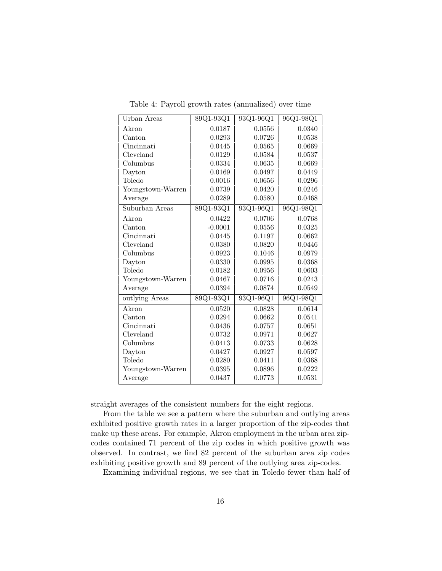| Urban Areas         | 89Q1-93Q1 | 93Q1-96Q1 | 96Q1-98Q1 |
|---------------------|-----------|-----------|-----------|
| <b>Akron</b>        | 0.0187    | 0.0556    | 0.0340    |
| Canton              | 0.0293    | 0.0726    | 0.0538    |
| Cincinnati          | 0.0445    | 0.0565    | 0.0669    |
| Cleveland           | 0.0129    | 0.0584    | 0.0537    |
| Columbus            | 0.0334    | 0.0635    | 0.0669    |
| Dayton              | 0.0169    | 0.0497    | 0.0449    |
| Toledo              | 0.0016    | 0.0656    | 0.0296    |
| Youngstown-Warren   | 0.0739    | 0.0420    | 0.0246    |
| Average             | 0.0289    | 0.0580    | 0.0468    |
| Suburban Areas      | 89Q1-93Q1 | 93Q1-96Q1 | 96Q1-98Q1 |
| $\overline{A}$ kron | 0.0422    | 0.0706    | 0.0768    |
| Canton              | $-0.0001$ | 0.0556    | 0.0325    |
| Cincinnati          | 0.0445    | 0.1197    | 0.0662    |
| Cleveland           | 0.0380    | 0.0820    | 0.0446    |
| Columbus            | 0.0923    | 0.1046    | 0.0979    |
| Dayton              | 0.0330    | 0.0995    | 0.0368    |
| Toledo              | 0.0182    | 0.0956    | 0.0603    |
| Youngstown-Warren   | 0.0467    | 0.0716    | 0.0243    |
| Average             | 0.0394    | 0.0874    | 0.0549    |
| outlying Areas      | 89Q1-93Q1 | 93Q1-96Q1 | 96Q1-98Q1 |
| Akron               | 0.0520    | 0.0828    | 0.0614    |
| Canton              | 0.0294    | 0.0662    | 0.0541    |
| Cincinnati          | 0.0436    | 0.0757    | 0.0651    |
| Cleveland           | 0.0732    | 0.0971    | 0.0627    |
| Columbus            | 0.0413    | 0.0733    | 0.0628    |
| Dayton              | 0.0427    | 0.0927    | 0.0597    |
| Toledo              | 0.0280    | 0.0411    | 0.0368    |
| Youngstown-Warren   | 0.0395    | 0.0896    | 0.0222    |
| Average             | 0.0437    | 0.0773    | 0.0531    |

Table 4: Payroll growth rates (annualized) over time

straight averages of the consistent numbers for the eight regions.

From the table we see a pattern where the suburban and outlying areas exhibited positive growth rates in a larger proportion of the zip-codes that make up these areas. For example, Akron employment in the urban area zipcodes contained 71 percent of the zip codes in which positive growth was observed. In contrast, we find 82 percent of the suburban area zip codes exhibiting positive growth and 89 percent of the outlying area zip-codes.

Examining individual regions, we see that in Toledo fewer than half of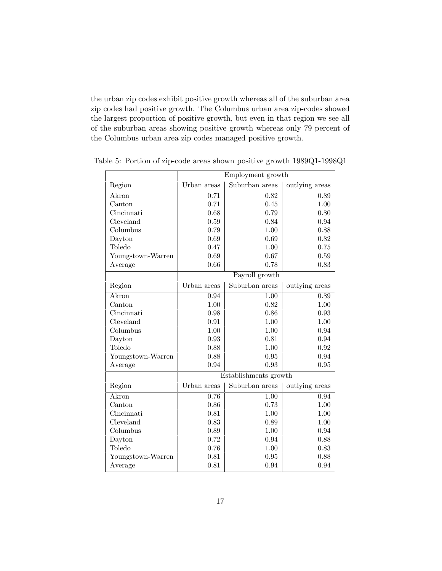the urban zip codes exhibit positive growth whereas all of the suburban area zip codes had positive growth. The Columbus urban area zip-codes showed the largest proportion of positive growth, but even in that region we see all of the suburban areas showing positive growth whereas only 79 percent of the Columbus urban area zip codes managed positive growth.

|                   | Employment growth |                       |                |  |  |  |  |  |
|-------------------|-------------------|-----------------------|----------------|--|--|--|--|--|
| Region            | Urban areas       | Suburban areas        | outlying areas |  |  |  |  |  |
| Akron             | 0.71              | 0.82                  | 0.89           |  |  |  |  |  |
| Canton            | 0.71              | 0.45                  | 1.00           |  |  |  |  |  |
| Cincinnati        | 0.68              | 0.79                  | 0.80           |  |  |  |  |  |
| Cleveland         | 0.59              | 0.84                  | 0.94           |  |  |  |  |  |
| Columbus          | 0.79              | 1.00                  | 0.88           |  |  |  |  |  |
| Dayton            | 0.69              | 0.69                  | 0.82           |  |  |  |  |  |
| Toledo            | 0.47              | 1.00                  | 0.75           |  |  |  |  |  |
| Youngstown-Warren | 0.69              | 0.67                  | 0.59           |  |  |  |  |  |
| Average           | 0.66              | 0.78                  | 0.83           |  |  |  |  |  |
|                   |                   | Payroll growth        |                |  |  |  |  |  |
| Region            | Urban areas       | Suburban areas        | outlying areas |  |  |  |  |  |
| Akron             | 0.94              | 1.00                  | 0.89           |  |  |  |  |  |
| Canton            | 1.00              | 0.82                  | 1.00           |  |  |  |  |  |
| Cincinnati        | 0.98              | 0.86                  | 0.93           |  |  |  |  |  |
| Cleveland         | 0.91              | 1.00                  | 1.00           |  |  |  |  |  |
| Columbus          | 1.00              | 1.00                  | 0.94           |  |  |  |  |  |
| Dayton            | 0.93              | 0.81                  | 0.94           |  |  |  |  |  |
| Toledo            | 0.88              | 1.00                  | 0.92           |  |  |  |  |  |
| Youngstown-Warren | 0.88              | 0.95                  | 0.94           |  |  |  |  |  |
| Average           | 0.94              | 0.93                  | 0.95           |  |  |  |  |  |
|                   |                   | Establishments growth |                |  |  |  |  |  |
| <b>Region</b>     | Urban areas       | Suburban areas        | outlying areas |  |  |  |  |  |
| Akron             | 0.76              | 1.00                  | 0.94           |  |  |  |  |  |
| Canton            | 0.86              | 0.73                  | 1.00           |  |  |  |  |  |
| Cincinnati        | 0.81              | 1.00                  | 1.00           |  |  |  |  |  |
| Cleveland         | 0.83              | 0.89                  | 1.00           |  |  |  |  |  |
| Columbus          | 0.89              | 1.00                  | 0.94           |  |  |  |  |  |
| Dayton            | 0.72              | 0.94                  | 0.88           |  |  |  |  |  |
| Toledo            | 0.76              | 1.00                  | 0.83           |  |  |  |  |  |
| Youngstown-Warren | 0.81              | 0.95                  | 0.88           |  |  |  |  |  |
| Average           | 0.81              | 0.94                  | 0.94           |  |  |  |  |  |

Table 5: Portion of zip-code areas shown positive growth 1989Q1-1998Q1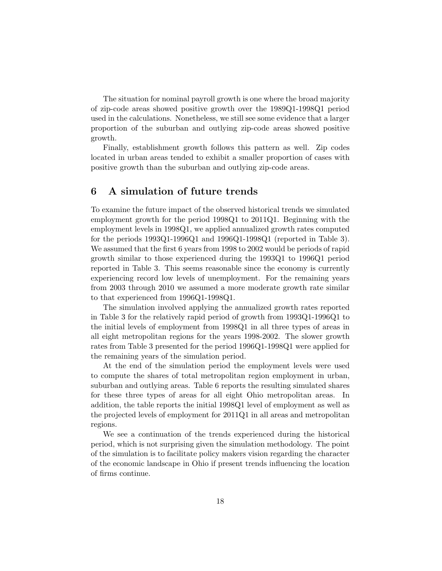The situation for nominal payroll growth is one where the broad majority of zip-code areas showed positive growth over the 1989Q1-1998Q1 period used in the calculations. Nonetheless, we still see some evidence that a larger proportion of the suburban and outlying zip-code areas showed positive growth.

Finally, establishment growth follows this pattern as well. Zip codes located in urban areas tended to exhibit a smaller proportion of cases with positive growth than the suburban and outlying zip-code areas.

## **6 A simulation of future trends**

To examine the future impact of the observed historical trends we simulated employment growth for the period 1998Q1 to 2011Q1. Beginning with the employment levels in 1998Q1, we applied annualized growth rates computed for the periods  $1993Q1-1996Q1$  and  $1996Q1-1998Q1$  (reported in Table 3). We assumed that the first 6 years from 1998 to 2002 would be periods of rapid growth similar to those experienced during the 1993Q1 to 1996Q1 period reported in Table 3. This seems reasonable since the economy is currently experiencing record low levels of unemployment. For the remaining years from 2003 through 2010 we assumed a more moderate growth rate similar to that experienced from 1996Q1-1998Q1.

The simulation involved applying the annualized growth rates reported in Table 3 for the relatively rapid period of growth from 1993Q1-1996Q1 to the initial levels of employment from 1998Q1 in all three types of areas in all eight metropolitan regions for the years 1998-2002. The slower growth rates from Table 3 presented for the period 1996Q1-1998Q1 were applied for the remaining years of the simulation period.

At the end of the simulation period the employment levels were used to compute the shares of total metropolitan region employment in urban, suburban and outlying areas. Table 6 reports the resulting simulated shares for these three types of areas for all eight Ohio metropolitan areas. In addition, the table reports the initial 1998Q1 level of employment as well as the projected levels of employment for 2011Q1 in all areas and metropolitan regions.

We see a continuation of the trends experienced during the historical period, which is not surprising given the simulation methodology. The point of the simulation is to facilitate policy makers vision regarding the character of the economic landscape in Ohio if present trends influencing the location of firms continue.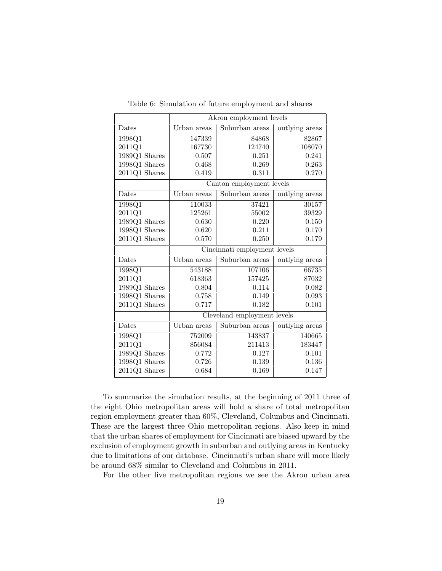|                                | Akron employment levels     |                              |                |  |  |  |  |  |  |
|--------------------------------|-----------------------------|------------------------------|----------------|--|--|--|--|--|--|
| Dates                          | Urban areas                 | Suburban areas               | outlying areas |  |  |  |  |  |  |
| 1998Q1                         | 147339                      | 84868                        | 82867          |  |  |  |  |  |  |
| 2011Q1                         | 167730                      | 124740                       | 108070         |  |  |  |  |  |  |
| $1989Q1$ Shares                | 0.507                       | 0.251                        | 0.241          |  |  |  |  |  |  |
| $1998\mathrm{Q}1$ Shares       | 0.468                       | 0.269                        | 0.263          |  |  |  |  |  |  |
| 2011Q1 Shares                  | 0.419                       | 0.311                        | 0.270          |  |  |  |  |  |  |
|                                |                             | Canton employment levels     |                |  |  |  |  |  |  |
| Dates                          | Urban areas                 | Suburban areas               | outlying areas |  |  |  |  |  |  |
| 1998Q1                         | 110033                      | 37421                        | 30157          |  |  |  |  |  |  |
| 2011Q1                         | 125261                      | 55002                        | 39329          |  |  |  |  |  |  |
| 1989Q1 Shares                  | 0.630                       | 0.220<br>0.211               | 0.150          |  |  |  |  |  |  |
| 1998Q1 Shares                  | 0.620                       | 0.170                        |                |  |  |  |  |  |  |
| 2011Q1 Shares                  | 0.570                       | 0.250<br>0.179               |                |  |  |  |  |  |  |
|                                |                             | Cincinnati employment levels |                |  |  |  |  |  |  |
| Dates                          | Urban areas                 | Suburban areas               | outlying areas |  |  |  |  |  |  |
| 1998Q1                         | 543188                      | 107106                       | 66735          |  |  |  |  |  |  |
| 2011Q1                         | 618363                      | 157425                       | 87032          |  |  |  |  |  |  |
| 1989Q1 Shares                  | 0.804                       | 0.114                        | 0.082          |  |  |  |  |  |  |
| 1998Q1 Shares                  | 0.758                       | 0.149                        | 0.093          |  |  |  |  |  |  |
| $2011Q1$ Shares                | 0.717                       | 0.182                        | 0.101          |  |  |  |  |  |  |
|                                | Cleveland employment levels |                              |                |  |  |  |  |  |  |
| Dates                          | Urban areas                 | Suburban areas               | outlying areas |  |  |  |  |  |  |
| 1998Q1                         | 752009                      | 143837                       | 140665         |  |  |  |  |  |  |
| 2011Q1                         | 856084                      | 211413                       | 183447         |  |  |  |  |  |  |
| 1989Q1 Shares                  | 0.772                       | 0.127                        | 0.101          |  |  |  |  |  |  |
|                                |                             |                              |                |  |  |  |  |  |  |
| 1998Q1 Shares<br>2011Q1 Shares | 0.726                       | 0.139                        | 0.136          |  |  |  |  |  |  |

Table 6: Simulation of future employment and shares

To summarize the simulation results, at the beginning of 2011 three of the eight Ohio metropolitan areas will hold a share of total metropolitan region employment greater than 60%, Cleveland, Columbus and Cincinnati. These are the largest three Ohio metropolitan regions. Also keep in mind that the urban shares of employment for Cincinnati are biased upward by the exclusion of employment growth in suburban and outlying areas in Kentucky due to limitations of our database. Cincinnati's urban share will more likely be around 68% similar to Cleveland and Columbus in 2011.

For the other five metropolitan regions we see the Akron urban area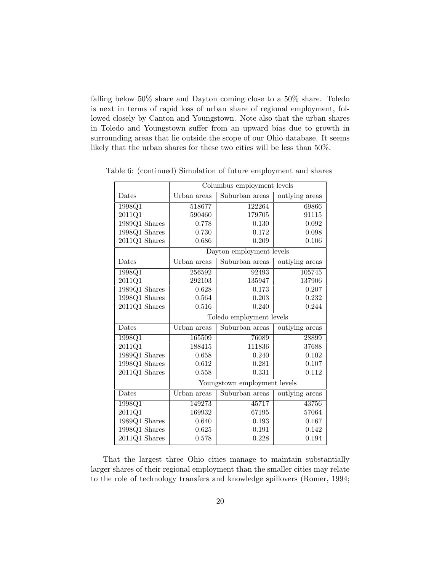falling below 50% share and Dayton coming close to a 50% share. Toledo is next in terms of rapid loss of urban share of regional employment, followed closely by Canton and Youngstown. Note also that the urban shares in Toledo and Youngstown suffer from an upward bias due to growth in surrounding areas that lie outside the scope of our Ohio database. It seems likely that the urban shares for these two cities will be less than 50%.

| Columbus employment levels |                |                                                                                                                 |  |  |  |  |  |
|----------------------------|----------------|-----------------------------------------------------------------------------------------------------------------|--|--|--|--|--|
| Urban areas                | Suburban areas | outlying areas                                                                                                  |  |  |  |  |  |
| 518677                     | 122264         | 69866                                                                                                           |  |  |  |  |  |
| 590460                     | 179705         | 91115                                                                                                           |  |  |  |  |  |
| 0.778                      | 0.130          | 0.092                                                                                                           |  |  |  |  |  |
| 0.730                      | 0.172          | 0.098                                                                                                           |  |  |  |  |  |
| 0.686                      | 0.209          | 0.106                                                                                                           |  |  |  |  |  |
|                            |                |                                                                                                                 |  |  |  |  |  |
| Urban areas                |                | outlying areas                                                                                                  |  |  |  |  |  |
| 256592                     | 92493          | 105745                                                                                                          |  |  |  |  |  |
| 292103                     | 135947         | 137906                                                                                                          |  |  |  |  |  |
| 0.628                      | 0.173          | 0.207                                                                                                           |  |  |  |  |  |
| 0.564                      | 0.203          | 0.232                                                                                                           |  |  |  |  |  |
| 0.516                      | 0.240          | 0.244                                                                                                           |  |  |  |  |  |
|                            |                |                                                                                                                 |  |  |  |  |  |
| Urban areas                | Suburban areas | outlying areas                                                                                                  |  |  |  |  |  |
| 165509                     | 76089          | 28899                                                                                                           |  |  |  |  |  |
| 188415                     | 111836         | 37688                                                                                                           |  |  |  |  |  |
| 0.658                      | 0.240          | 0.102                                                                                                           |  |  |  |  |  |
| 0.612                      | 0.281          | 0.107                                                                                                           |  |  |  |  |  |
|                            |                | 0.112                                                                                                           |  |  |  |  |  |
|                            |                |                                                                                                                 |  |  |  |  |  |
| Urban areas                | Suburban areas | outlying areas                                                                                                  |  |  |  |  |  |
| 149273                     | 45717          | 43756                                                                                                           |  |  |  |  |  |
| 169932                     | 67195          | 57064                                                                                                           |  |  |  |  |  |
| 0.640                      | 0.193          | 0.167                                                                                                           |  |  |  |  |  |
| 0.625                      | 0.191          | 0.142                                                                                                           |  |  |  |  |  |
| 0.578                      | 0.228          | 0.194                                                                                                           |  |  |  |  |  |
|                            | 0.558          | Dayton employment levels<br>Suburban areas<br>Toledo employment levels<br>0.331<br>Youngstown employment levels |  |  |  |  |  |

Table 6: (continued) Simulation of future employment and shares

That the largest three Ohio cities manage to maintain substantially larger shares of their regional employment than the smaller cities may relate to the role of technology transfers and knowledge spillovers (Romer, 1994;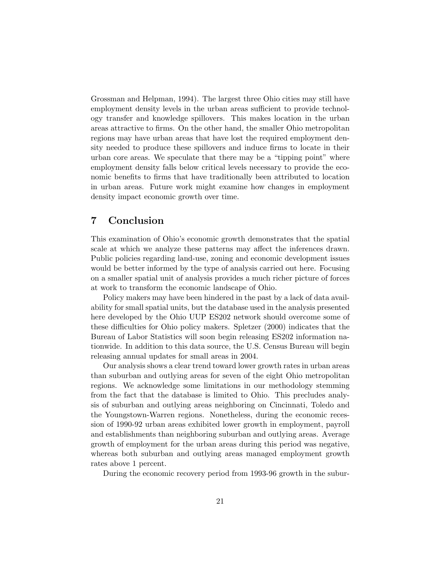Grossman and Helpman, 1994). The largest three Ohio cities may still have employment density levels in the urban areas sufficient to provide technology transfer and knowledge spillovers. This makes location in the urban areas attractive to firms. On the other hand, the smaller Ohio metropolitan regions may have urban areas that have lost the required employment density needed to produce these spillovers and induce firms to locate in their urban core areas. We speculate that there may be a "tipping point" where employment density falls below critical levels necessary to provide the economic benefits to firms that have traditionally been attributed to location in urban areas. Future work might examine how changes in employment density impact economic growth over time.

## **7 Conclusion**

This examination of Ohio's economic growth demonstrates that the spatial scale at which we analyze these patterns may affect the inferences drawn. Public policies regarding land-use, zoning and economic development issues would be better informed by the type of analysis carried out here. Focusing on a smaller spatial unit of analysis provides a much richer picture of forces at work to transform the economic landscape of Ohio.

Policy makers may have been hindered in the past by a lack of data availability for small spatial units, but the database used in the analysis presented here developed by the Ohio UUP ES202 network should overcome some of these difficulties for Ohio policy makers. Spletzer (2000) indicates that the Bureau of Labor Statistics will soon begin releasing ES202 information nationwide. In addition to this data source, the U.S. Census Bureau will begin releasing annual updates for small areas in 2004.

Our analysis shows a clear trend toward lower growth rates in urban areas than suburban and outlying areas for seven of the eight Ohio metropolitan regions. We acknowledge some limitations in our methodology stemming from the fact that the database is limited to Ohio. This precludes analysis of suburban and outlying areas neighboring on Cincinnati, Toledo and the Youngstown-Warren regions. Nonetheless, during the economic recession of 1990-92 urban areas exhibited lower growth in employment, payroll and establishments than neighboring suburban and outlying areas. Average growth of employment for the urban areas during this period was negative, whereas both suburban and outlying areas managed employment growth rates above 1 percent.

During the economic recovery period from 1993-96 growth in the subur-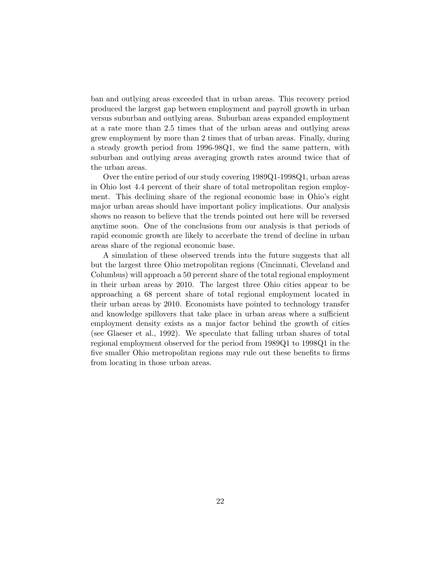ban and outlying areas exceeded that in urban areas. This recovery period produced the largest gap between employment and payroll growth in urban versus suburban and outlying areas. Suburban areas expanded employment at a rate more than 2.5 times that of the urban areas and outlying areas grew employment by more than 2 times that of urban areas. Finally, during a steady growth period from 1996-98Q1, we find the same pattern, with suburban and outlying areas averaging growth rates around twice that of the urban areas.

Over the entire period of our study covering 1989Q1-1998Q1, urban areas in Ohio lost 4.4 percent of their share of total metropolitan region employment. This declining share of the regional economic base in Ohio's eight major urban areas should have important policy implications. Our analysis shows no reason to believe that the trends pointed out here will be reversed anytime soon. One of the conclusions from our analysis is that periods of rapid economic growth are likely to accerbate the trend of decline in urban areas share of the regional economic base.

A simulation of these observed trends into the future suggests that all but the largest three Ohio metropolitan regions (Cincinnati, Cleveland and Columbus) will approach a 50 percent share of the total regional employment in their urban areas by 2010. The largest three Ohio cities appear to be approaching a 68 percent share of total regional employment located in their urban areas by 2010. Economists have pointed to technology transfer and knowledge spillovers that take place in urban areas where a sufficient employment density exists as a major factor behind the growth of cities (see Glaeser et al., 1992). We speculate that falling urban shares of total regional employment observed for the period from 1989Q1 to 1998Q1 in the five smaller Ohio metropolitan regions may rule out these benefits to firms from locating in those urban areas.